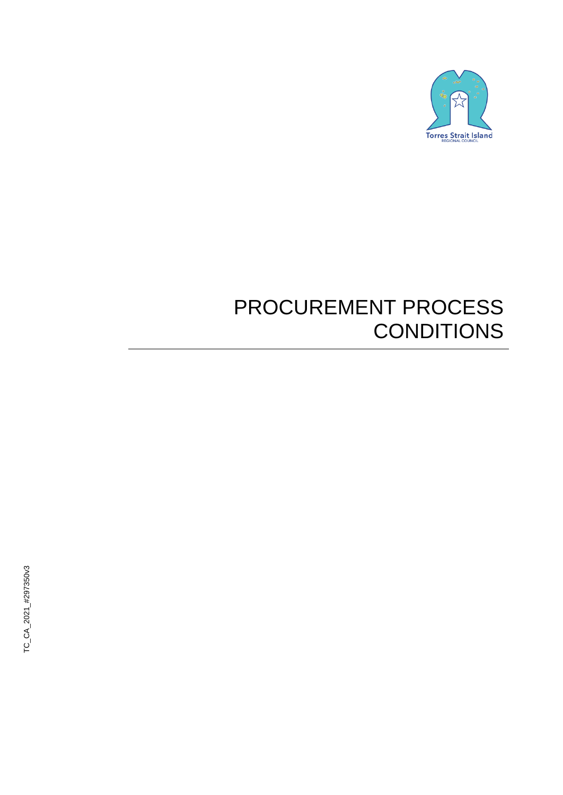

# PROCUREMENT PROCESS **CONDITIONS**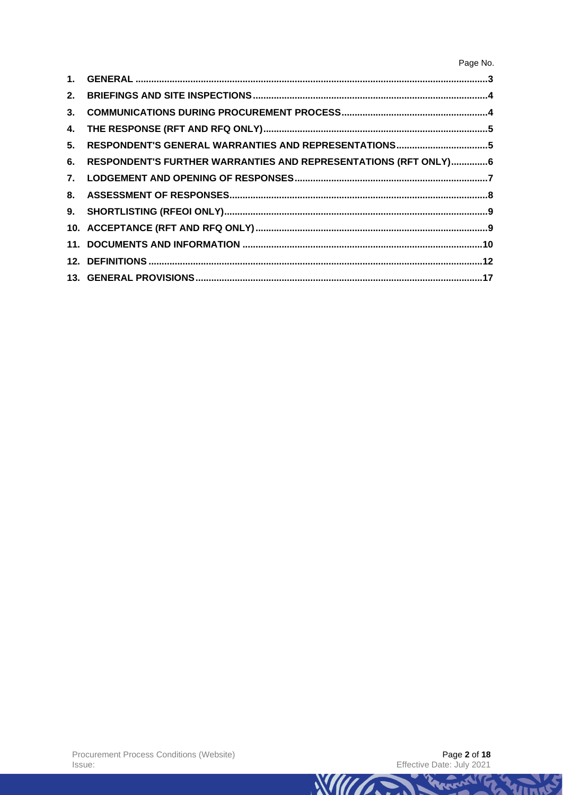| 3. |                                                                 |  |
|----|-----------------------------------------------------------------|--|
|    |                                                                 |  |
| 5. |                                                                 |  |
| 6. | RESPONDENT'S FURTHER WARRANTIES AND REPRESENTATIONS (RFT ONLY)6 |  |
|    |                                                                 |  |
|    |                                                                 |  |
|    |                                                                 |  |
|    |                                                                 |  |
|    |                                                                 |  |
|    |                                                                 |  |
|    |                                                                 |  |



TRANSITY TO

VITALE

**WIII CONTRACTOR**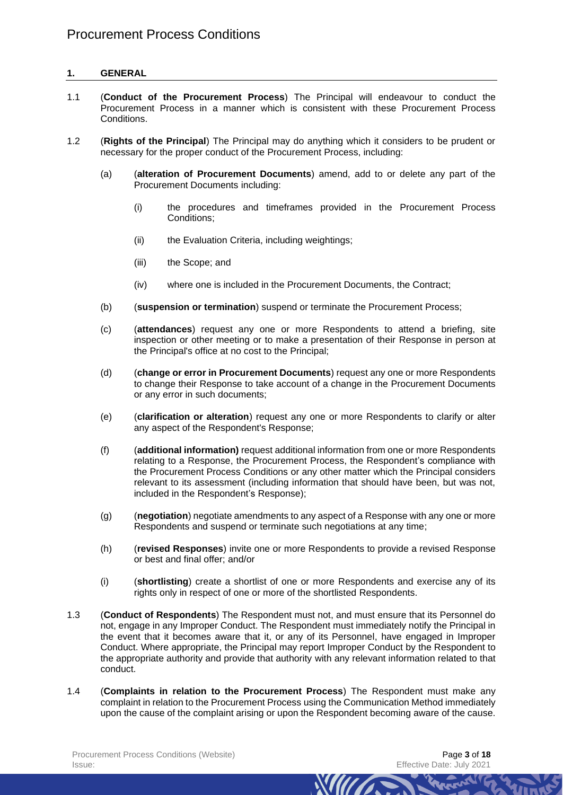# **1. GENERAL**

- 1.1 (**Conduct of the Procurement Process**) The Principal will endeavour to conduct the Procurement Process in a manner which is consistent with these Procurement Process Conditions.
- 1.2 (**Rights of the Principal**) The Principal may do anything which it considers to be prudent or necessary for the proper conduct of the Procurement Process, including:
	- (a) (**alteration of Procurement Documents**) amend, add to or delete any part of the Procurement Documents including:
		- (i) the procedures and timeframes provided in the Procurement Process Conditions;
		- (ii) the Evaluation Criteria, including weightings;
		- (iii) the Scope; and
		- (iv) where one is included in the Procurement Documents, the Contract;
	- (b) (**suspension or termination**) suspend or terminate the Procurement Process;
	- (c) (**attendances**) request any one or more Respondents to attend a briefing, site inspection or other meeting or to make a presentation of their Response in person at the Principal's office at no cost to the Principal;
	- (d) (**change or error in Procurement Documents**) request any one or more Respondents to change their Response to take account of a change in the Procurement Documents or any error in such documents;
	- (e) (**clarification or alteration**) request any one or more Respondents to clarify or alter any aspect of the Respondent's Response;
	- (f) (**additional information)** request additional information from one or more Respondents relating to a Response, the Procurement Process, the Respondent's compliance with the Procurement Process Conditions or any other matter which the Principal considers relevant to its assessment (including information that should have been, but was not, included in the Respondent's Response);
	- (g) (**negotiation**) negotiate amendments to any aspect of a Response with any one or more Respondents and suspend or terminate such negotiations at any time;
	- (h) (**revised Responses**) invite one or more Respondents to provide a revised Response or best and final offer; and/or
	- (i) (**shortlisting**) create a shortlist of one or more Respondents and exercise any of its rights only in respect of one or more of the shortlisted Respondents.
- 1.3 (**Conduct of Respondents**) The Respondent must not, and must ensure that its Personnel do not, engage in any Improper Conduct. The Respondent must immediately notify the Principal in the event that it becomes aware that it, or any of its Personnel, have engaged in Improper Conduct. Where appropriate, the Principal may report Improper Conduct by the Respondent to the appropriate authority and provide that authority with any relevant information related to that conduct.
- 1.4 (**Complaints in relation to the Procurement Process**) The Respondent must make any complaint in relation to the Procurement Process using the Communication Method immediately upon the cause of the complaint arising or upon the Respondent becoming aware of the cause.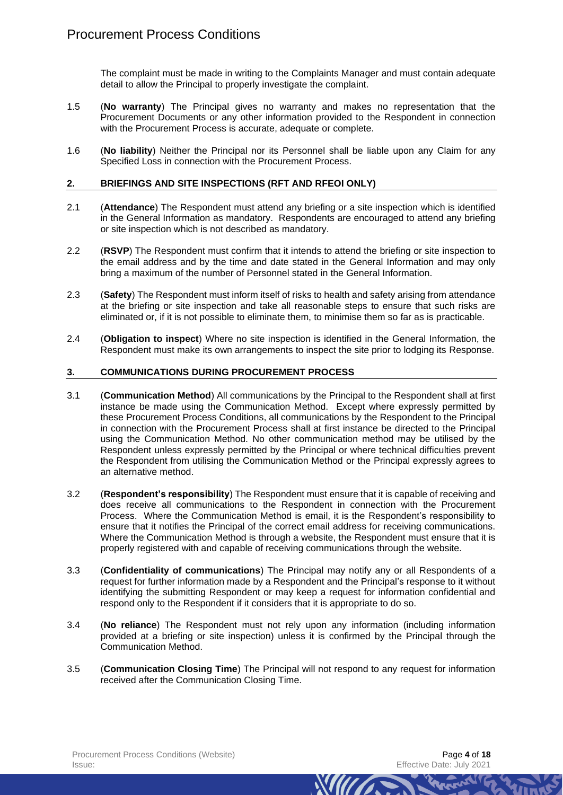The complaint must be made in writing to the Complaints Manager and must contain adequate detail to allow the Principal to properly investigate the complaint.

- 1.5 (**No warranty**) The Principal gives no warranty and makes no representation that the Procurement Documents or any other information provided to the Respondent in connection with the Procurement Process is accurate, adequate or complete.
- 1.6 (**No liability**) Neither the Principal nor its Personnel shall be liable upon any Claim for any Specified Loss in connection with the Procurement Process.

#### **2. BRIEFINGS AND SITE INSPECTIONS (RFT AND RFEOI ONLY)**

- 2.1 (**Attendance**) The Respondent must attend any briefing or a site inspection which is identified in the General Information as mandatory. Respondents are encouraged to attend any briefing or site inspection which is not described as mandatory.
- 2.2 (**RSVP**) The Respondent must confirm that it intends to attend the briefing or site inspection to the email address and by the time and date stated in the General Information and may only bring a maximum of the number of Personnel stated in the General Information.
- 2.3 (**Safety**) The Respondent must inform itself of risks to health and safety arising from attendance at the briefing or site inspection and take all reasonable steps to ensure that such risks are eliminated or, if it is not possible to eliminate them, to minimise them so far as is practicable.
- 2.4 (**Obligation to inspect**) Where no site inspection is identified in the General Information, the Respondent must make its own arrangements to inspect the site prior to lodging its Response.

# **3. COMMUNICATIONS DURING PROCUREMENT PROCESS**

- 3.1 (**Communication Method**) All communications by the Principal to the Respondent shall at first instance be made using the Communication Method. Except where expressly permitted by these Procurement Process Conditions, all communications by the Respondent to the Principal in connection with the Procurement Process shall at first instance be directed to the Principal using the Communication Method. No other communication method may be utilised by the Respondent unless expressly permitted by the Principal or where technical difficulties prevent the Respondent from utilising the Communication Method or the Principal expressly agrees to an alternative method.
- 3.2 (**Respondent's responsibility**) The Respondent must ensure that it is capable of receiving and does receive all communications to the Respondent in connection with the Procurement Process. Where the Communication Method is email, it is the Respondent's responsibility to ensure that it notifies the Principal of the correct email address for receiving communications. Where the Communication Method is through a website, the Respondent must ensure that it is properly registered with and capable of receiving communications through the website.
- 3.3 (**Confidentiality of communications**) The Principal may notify any or all Respondents of a request for further information made by a Respondent and the Principal's response to it without identifying the submitting Respondent or may keep a request for information confidential and respond only to the Respondent if it considers that it is appropriate to do so.
- 3.4 (**No reliance**) The Respondent must not rely upon any information (including information provided at a briefing or site inspection) unless it is confirmed by the Principal through the Communication Method.
- 3.5 (**Communication Closing Time**) The Principal will not respond to any request for information received after the Communication Closing Time.

*MITTA*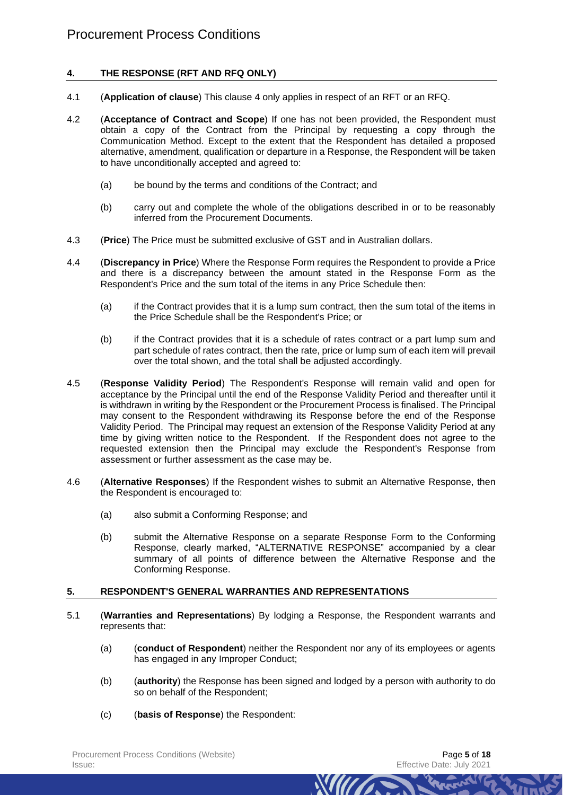# <span id="page-4-0"></span>**4. THE RESPONSE (RFT AND RFQ ONLY)**

- 4.1 (**Application of clause**) This clause [4](#page-4-0) only applies in respect of an RFT or an RFQ.
- 4.2 (**Acceptance of Contract and Scope**) If one has not been provided, the Respondent must obtain a copy of the Contract from the Principal by requesting a copy through the Communication Method. Except to the extent that the Respondent has detailed a proposed alternative, amendment, qualification or departure in a Response, the Respondent will be taken to have unconditionally accepted and agreed to:
	- (a) be bound by the terms and conditions of the Contract; and
	- (b) carry out and complete the whole of the obligations described in or to be reasonably inferred from the Procurement Documents.
- 4.3 (**Price**) The Price must be submitted exclusive of GST and in Australian dollars.
- <span id="page-4-1"></span>4.4 (**Discrepancy in Price**) Where the Response Form requires the Respondent to provide a Price and there is a discrepancy between the amount stated in the Response Form as the Respondent's Price and the sum total of the items in any Price Schedule then:
	- (a) if the Contract provides that it is a lump sum contract, then the sum total of the items in the Price Schedule shall be the Respondent's Price; or
	- (b) if the Contract provides that it is a schedule of rates contract or a part lump sum and part schedule of rates contract, then the rate, price or lump sum of each item will prevail over the total shown, and the total shall be adjusted accordingly.
- <span id="page-4-2"></span>4.5 (**Response Validity Period**) The Respondent's Response will remain valid and open for acceptance by the Principal until the end of the Response Validity Period and thereafter until it is withdrawn in writing by the Respondent or the Procurement Process is finalised. The Principal may consent to the Respondent withdrawing its Response before the end of the Response Validity Period. The Principal may request an extension of the Response Validity Period at any time by giving written notice to the Respondent. If the Respondent does not agree to the requested extension then the Principal may exclude the Respondent's Response from assessment or further assessment as the case may be.
- 4.6 (**Alternative Responses**) If the Respondent wishes to submit an Alternative Response, then the Respondent is encouraged to:
	- (a) also submit a Conforming Response; and
	- (b) submit the Alternative Response on a separate Response Form to the Conforming Response, clearly marked, "ALTERNATIVE RESPONSE" accompanied by a clear summary of all points of difference between the Alternative Response and the Conforming Response.

#### **5. RESPONDENT'S GENERAL WARRANTIES AND REPRESENTATIONS**

- 5.1 (**Warranties and Representations**) By lodging a Response, the Respondent warrants and represents that:
	- (a) (**conduct of Respondent**) neither the Respondent nor any of its employees or agents has engaged in any Improper Conduct;
	- (b) (**authority**) the Response has been signed and lodged by a person with authority to do so on behalf of the Respondent;

*MITTA* 

(c) (**basis of Response**) the Respondent: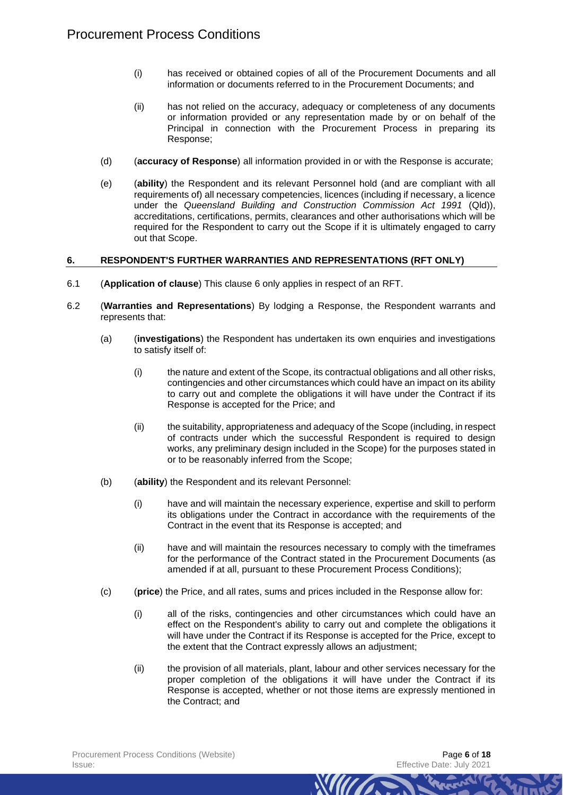- (i) has received or obtained copies of all of the Procurement Documents and all information or documents referred to in the Procurement Documents; and
- (ii) has not relied on the accuracy, adequacy or completeness of any documents or information provided or any representation made by or on behalf of the Principal in connection with the Procurement Process in preparing its Response;
- (d) (**accuracy of Response**) all information provided in or with the Response is accurate;
- (e) (**ability**) the Respondent and its relevant Personnel hold (and are compliant with all requirements of) all necessary competencies, licences (including if necessary, a licence under the *Queensland Building and Construction Commission Act 1991* (Qld)), accreditations, certifications, permits, clearances and other authorisations which will be required for the Respondent to carry out the Scope if it is ultimately engaged to carry out that Scope.

# <span id="page-5-0"></span>**6. RESPONDENT'S FURTHER WARRANTIES AND REPRESENTATIONS (RFT ONLY)**

- 6.1 (**Application of clause**) This clause [6](#page-5-0) only applies in respect of an RFT.
- 6.2 (**Warranties and Representations**) By lodging a Response, the Respondent warrants and represents that:
	- (a) (**investigations**) the Respondent has undertaken its own enquiries and investigations to satisfy itself of:
		- (i) the nature and extent of the Scope, its contractual obligations and all other risks, contingencies and other circumstances which could have an impact on its ability to carry out and complete the obligations it will have under the Contract if its Response is accepted for the Price; and
		- (ii) the suitability, appropriateness and adequacy of the Scope (including, in respect of contracts under which the successful Respondent is required to design works, any preliminary design included in the Scope) for the purposes stated in or to be reasonably inferred from the Scope;
	- (b) (**ability**) the Respondent and its relevant Personnel:
		- (i) have and will maintain the necessary experience, expertise and skill to perform its obligations under the Contract in accordance with the requirements of the Contract in the event that its Response is accepted; and
		- (ii) have and will maintain the resources necessary to comply with the timeframes for the performance of the Contract stated in the Procurement Documents (as amended if at all, pursuant to these Procurement Process Conditions);
	- (c) (**price**) the Price, and all rates, sums and prices included in the Response allow for:
		- (i) all of the risks, contingencies and other circumstances which could have an effect on the Respondent's ability to carry out and complete the obligations it will have under the Contract if its Response is accepted for the Price, except to the extent that the Contract expressly allows an adjustment;
		- (ii) the provision of all materials, plant, labour and other services necessary for the proper completion of the obligations it will have under the Contract if its Response is accepted, whether or not those items are expressly mentioned in the Contract; and

*MIITT*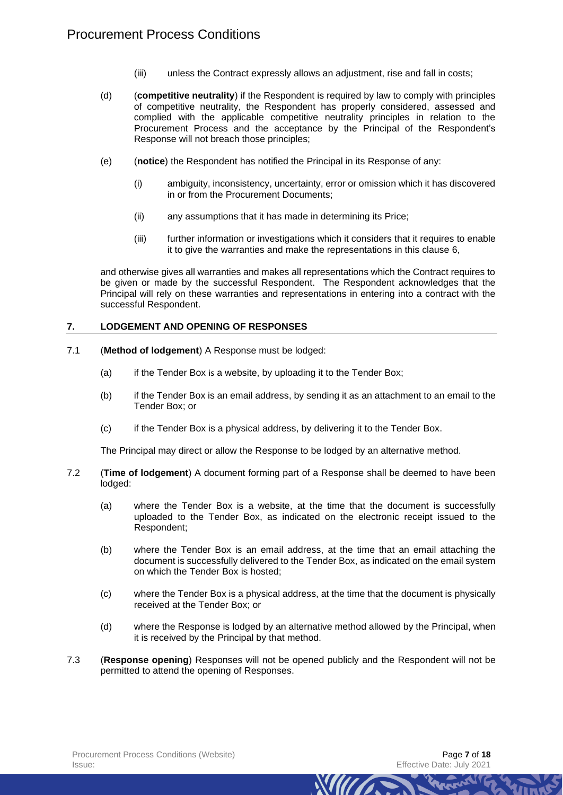- (iii) unless the Contract expressly allows an adjustment, rise and fall in costs;
- (d) (**competitive neutrality**) if the Respondent is required by law to comply with principles of competitive neutrality, the Respondent has properly considered, assessed and complied with the applicable competitive neutrality principles in relation to the Procurement Process and the acceptance by the Principal of the Respondent's Response will not breach those principles;
- (e) (**notice**) the Respondent has notified the Principal in its Response of any:
	- (i) ambiguity, inconsistency, uncertainty, error or omission which it has discovered in or from the Procurement Documents;
	- (ii) any assumptions that it has made in determining its Price;
	- (iii) further information or investigations which it considers that it requires to enable it to give the warranties and make the representations in this clause [6,](#page-5-0)

and otherwise gives all warranties and makes all representations which the Contract requires to be given or made by the successful Respondent. The Respondent acknowledges that the Principal will rely on these warranties and representations in entering into a contract with the successful Respondent.

# **7. LODGEMENT AND OPENING OF RESPONSES**

- 7.1 (**Method of lodgement**) A Response must be lodged:
	- (a) if the Tender Box is a website, by uploading it to the Tender Box;
	- (b) if the Tender Box is an email address, by sending it as an attachment to an email to the Tender Box; or
	- (c) if the Tender Box is a physical address, by delivering it to the Tender Box.

The Principal may direct or allow the Response to be lodged by an alternative method.

- 7.2 (**Time of lodgement**) A document forming part of a Response shall be deemed to have been lodged:
	- (a) where the Tender Box is a website, at the time that the document is successfully uploaded to the Tender Box, as indicated on the electronic receipt issued to the Respondent;
	- (b) where the Tender Box is an email address, at the time that an email attaching the document is successfully delivered to the Tender Box, as indicated on the email system on which the Tender Box is hosted;
	- (c) where the Tender Box is a physical address, at the time that the document is physically received at the Tender Box; or
	- (d) where the Response is lodged by an alternative method allowed by the Principal, when it is received by the Principal by that method.

*Mura* 

7.3 (**Response opening**) Responses will not be opened publicly and the Respondent will not be permitted to attend the opening of Responses.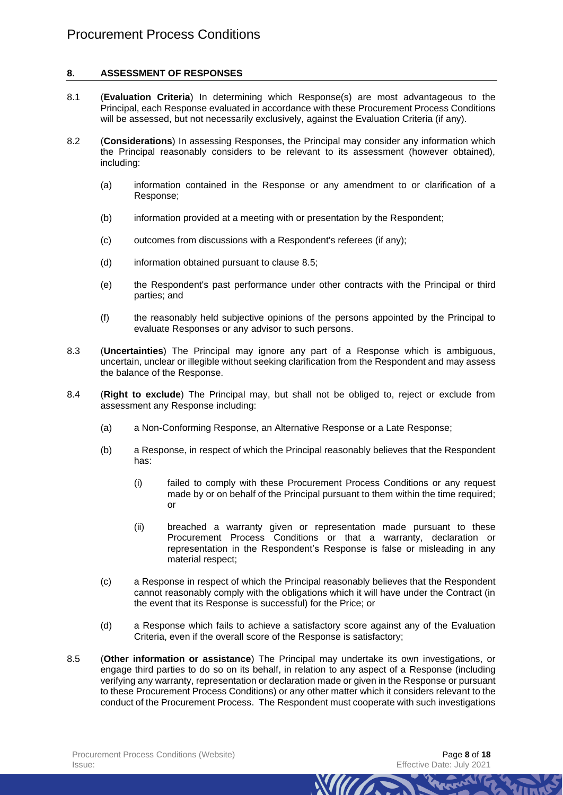# **8. ASSESSMENT OF RESPONSES**

- 8.1 (**Evaluation Criteria**) In determining which Response(s) are most advantageous to the Principal, each Response evaluated in accordance with these Procurement Process Conditions will be assessed, but not necessarily exclusively, against the Evaluation Criteria (if any).
- 8.2 (**Considerations**) In assessing Responses, the Principal may consider any information which the Principal reasonably considers to be relevant to its assessment (however obtained), including:
	- (a) information contained in the Response or any amendment to or clarification of a Response;
	- (b) information provided at a meeting with or presentation by the Respondent;
	- (c) outcomes from discussions with a Respondent's referees (if any);
	- (d) information obtained pursuant to clause [8.5;](#page-7-0)
	- (e) the Respondent's past performance under other contracts with the Principal or third parties; and
	- (f) the reasonably held subjective opinions of the persons appointed by the Principal to evaluate Responses or any advisor to such persons.
- 8.3 (**Uncertainties**) The Principal may ignore any part of a Response which is ambiguous, uncertain, unclear or illegible without seeking clarification from the Respondent and may assess the balance of the Response.
- 8.4 (**Right to exclude**) The Principal may, but shall not be obliged to, reject or exclude from assessment any Response including:
	- (a) a Non-Conforming Response, an Alternative Response or a Late Response;
	- (b) a Response, in respect of which the Principal reasonably believes that the Respondent has:
		- (i) failed to comply with these Procurement Process Conditions or any request made by or on behalf of the Principal pursuant to them within the time required; or
		- (ii) breached a warranty given or representation made pursuant to these Procurement Process Conditions or that a warranty, declaration or representation in the Respondent's Response is false or misleading in any material respect;

- (c) a Response in respect of which the Principal reasonably believes that the Respondent cannot reasonably comply with the obligations which it will have under the Contract (in the event that its Response is successful) for the Price; or
- (d) a Response which fails to achieve a satisfactory score against any of the Evaluation Criteria, even if the overall score of the Response is satisfactory;
- <span id="page-7-0"></span>8.5 (**Other information or assistance**) The Principal may undertake its own investigations, or engage third parties to do so on its behalf, in relation to any aspect of a Response (including verifying any warranty, representation or declaration made or given in the Response or pursuant to these Procurement Process Conditions) or any other matter which it considers relevant to the conduct of the Procurement Process. The Respondent must cooperate with such investigations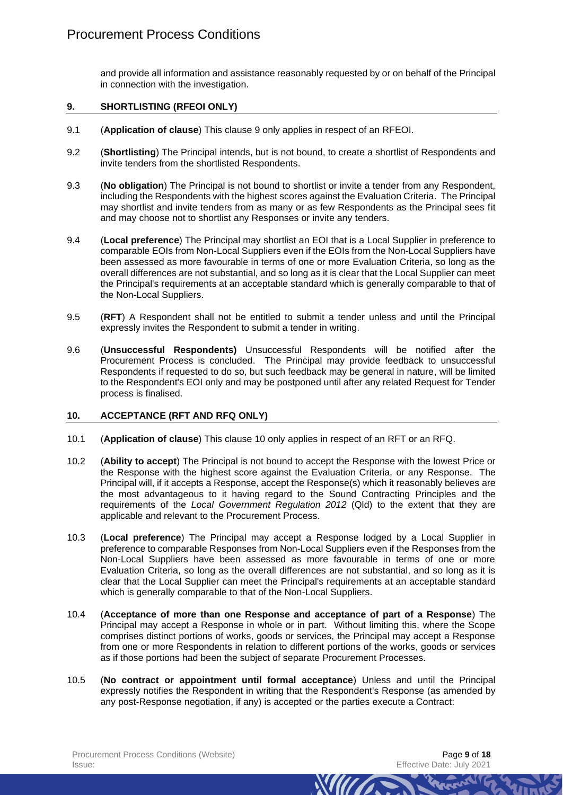and provide all information and assistance reasonably requested by or on behalf of the Principal in connection with the investigation.

# <span id="page-8-0"></span>**9. SHORTLISTING (RFEOI ONLY)**

- 9.1 (**Application of clause**) This clause [9](#page-8-0) only applies in respect of an RFEOI.
- 9.2 (**Shortlisting**) The Principal intends, but is not bound, to create a shortlist of Respondents and invite tenders from the shortlisted Respondents.
- 9.3 (**No obligation**) The Principal is not bound to shortlist or invite a tender from any Respondent, including the Respondents with the highest scores against the Evaluation Criteria. The Principal may shortlist and invite tenders from as many or as few Respondents as the Principal sees fit and may choose not to shortlist any Responses or invite any tenders.
- 9.4 (**Local preference**) The Principal may shortlist an EOI that is a Local Supplier in preference to comparable EOIs from Non-Local Suppliers even if the EOIs from the Non-Local Suppliers have been assessed as more favourable in terms of one or more Evaluation Criteria, so long as the overall differences are not substantial, and so long as it is clear that the Local Supplier can meet the Principal's requirements at an acceptable standard which is generally comparable to that of the Non-Local Suppliers.
- 9.5 (**RFT**) A Respondent shall not be entitled to submit a tender unless and until the Principal expressly invites the Respondent to submit a tender in writing.
- 9.6 (**Unsuccessful Respondents)** Unsuccessful Respondents will be notified after the Procurement Process is concluded. The Principal may provide feedback to unsuccessful Respondents if requested to do so, but such feedback may be general in nature, will be limited to the Respondent's EOI only and may be postponed until after any related Request for Tender process is finalised.

#### <span id="page-8-1"></span>**10. ACCEPTANCE (RFT AND RFQ ONLY)**

- 10.1 (**Application of clause**) This clause [10](#page-8-1) only applies in respect of an RFT or an RFQ.
- 10.2 (**Ability to accept**) The Principal is not bound to accept the Response with the lowest Price or the Response with the highest score against the Evaluation Criteria, or any Response. The Principal will, if it accepts a Response, accept the Response(s) which it reasonably believes are the most advantageous to it having regard to the Sound Contracting Principles and the requirements of the *Local Government Regulation 2012* (Qld) to the extent that they are applicable and relevant to the Procurement Process.
- 10.3 (**Local preference**) The Principal may accept a Response lodged by a Local Supplier in preference to comparable Responses from Non-Local Suppliers even if the Responses from the Non-Local Suppliers have been assessed as more favourable in terms of one or more Evaluation Criteria, so long as the overall differences are not substantial, and so long as it is clear that the Local Supplier can meet the Principal's requirements at an acceptable standard which is generally comparable to that of the Non-Local Suppliers.
- 10.4 (**Acceptance of more than one Response and acceptance of part of a Response**) The Principal may accept a Response in whole or in part. Without limiting this, where the Scope comprises distinct portions of works, goods or services, the Principal may accept a Response from one or more Respondents in relation to different portions of the works, goods or services as if those portions had been the subject of separate Procurement Processes.
- 10.5 (**No contract or appointment until formal acceptance**) Unless and until the Principal expressly notifies the Respondent in writing that the Respondent's Response (as amended by any post-Response negotiation, if any) is accepted or the parties execute a Contract:

*MIITA*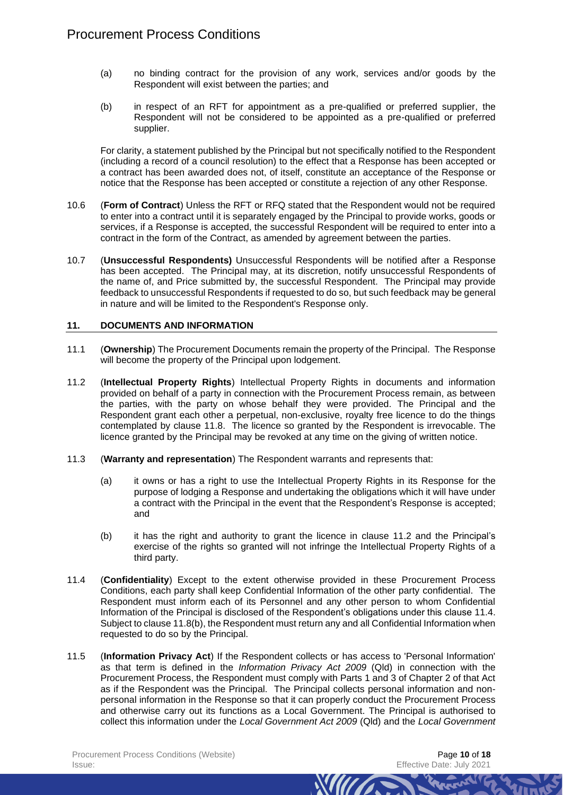- (a) no binding contract for the provision of any work, services and/or goods by the Respondent will exist between the parties; and
- (b) in respect of an RFT for appointment as a pre-qualified or preferred supplier, the Respondent will not be considered to be appointed as a pre-qualified or preferred supplier.

For clarity, a statement published by the Principal but not specifically notified to the Respondent (including a record of a council resolution) to the effect that a Response has been accepted or a contract has been awarded does not, of itself, constitute an acceptance of the Response or notice that the Response has been accepted or constitute a rejection of any other Response.

- 10.6 (**Form of Contract**) Unless the RFT or RFQ stated that the Respondent would not be required to enter into a contract until it is separately engaged by the Principal to provide works, goods or services, if a Response is accepted, the successful Respondent will be required to enter into a contract in the form of the Contract, as amended by agreement between the parties.
- 10.7 (**Unsuccessful Respondents)** Unsuccessful Respondents will be notified after a Response has been accepted. The Principal may, at its discretion, notify unsuccessful Respondents of the name of, and Price submitted by, the successful Respondent. The Principal may provide feedback to unsuccessful Respondents if requested to do so, but such feedback may be general in nature and will be limited to the Respondent's Response only.

#### **11. DOCUMENTS AND INFORMATION**

- 11.1 (**Ownership**) The Procurement Documents remain the property of the Principal. The Response will become the property of the Principal upon lodgement.
- <span id="page-9-0"></span>11.2 (**Intellectual Property Rights**) Intellectual Property Rights in documents and information provided on behalf of a party in connection with the Procurement Process remain, as between the parties, with the party on whose behalf they were provided. The Principal and the Respondent grant each other a perpetual, non-exclusive, royalty free licence to do the things contemplated by clause [11.8.](#page-11-0) The licence so granted by the Respondent is irrevocable. The licence granted by the Principal may be revoked at any time on the giving of written notice.
- 11.3 (**Warranty and representation**) The Respondent warrants and represents that:
	- (a) it owns or has a right to use the Intellectual Property Rights in its Response for the purpose of lodging a Response and undertaking the obligations which it will have under a contract with the Principal in the event that the Respondent's Response is accepted; and
	- (b) it has the right and authority to grant the licence in clause [11.2](#page-9-0) and the Principal's exercise of the rights so granted will not infringe the Intellectual Property Rights of a third party.
- <span id="page-9-1"></span>11.4 (**Confidentiality**) Except to the extent otherwise provided in these Procurement Process Conditions, each party shall keep Confidential Information of the other party confidential. The Respondent must inform each of its Personnel and any other person to whom Confidential Information of the Principal is disclosed of the Respondent's obligations under this clause [11.4.](#page-9-1) Subject to claus[e 11.8\(b\),](#page-11-1) the Respondent must return any and all Confidential Information when requested to do so by the Principal.
- 11.5 (**Information Privacy Act**) If the Respondent collects or has access to 'Personal Information' as that term is defined in the *Information Privacy Act 2009* (Qld) in connection with the Procurement Process, the Respondent must comply with Parts 1 and 3 of Chapter 2 of that Act as if the Respondent was the Principal. The Principal collects personal information and nonpersonal information in the Response so that it can properly conduct the Procurement Process and otherwise carry out its functions as a Local Government. The Principal is authorised to collect this information under the *Local Government Act 2009* (Qld) and the *Local Government*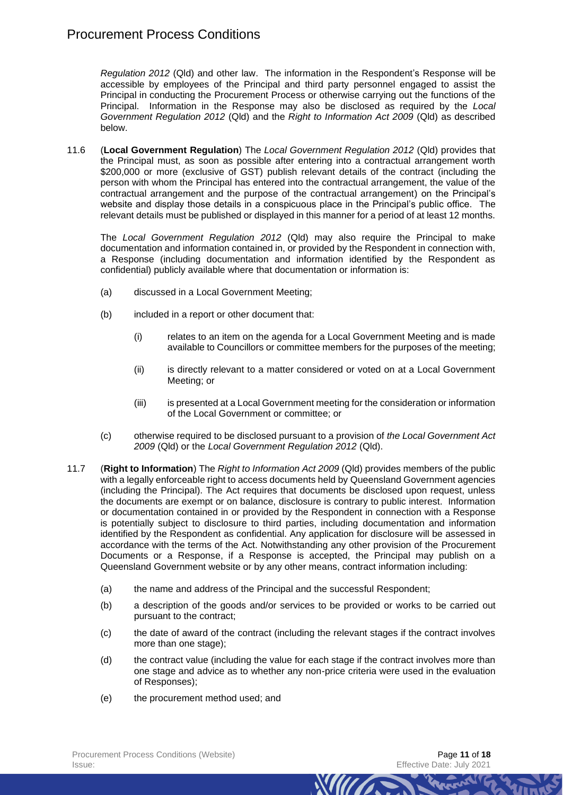*Regulation 2012* (Qld) and other law. The information in the Respondent's Response will be accessible by employees of the Principal and third party personnel engaged to assist the Principal in conducting the Procurement Process or otherwise carrying out the functions of the Principal. Information in the Response may also be disclosed as required by the *Local Government Regulation 2012* (Qld) and the *Right to Information Act 2009* (Qld) as described below.

11.6 (**Local Government Regulation**) The *Local Government Regulation 2012* (Qld) provides that the Principal must, as soon as possible after entering into a contractual arrangement worth \$200,000 or more (exclusive of GST) publish relevant details of the contract (including the person with whom the Principal has entered into the contractual arrangement, the value of the contractual arrangement and the purpose of the contractual arrangement) on the Principal's website and display those details in a conspicuous place in the Principal's public office. The relevant details must be published or displayed in this manner for a period of at least 12 months.

The *Local Government Regulation 2012* (Qld) may also require the Principal to make documentation and information contained in, or provided by the Respondent in connection with, a Response (including documentation and information identified by the Respondent as confidential) publicly available where that documentation or information is:

- (a) discussed in a Local Government Meeting;
- (b) included in a report or other document that:
	- (i) relates to an item on the agenda for a Local Government Meeting and is made available to Councillors or committee members for the purposes of the meeting;
	- (ii) is directly relevant to a matter considered or voted on at a Local Government Meeting; or
	- (iii) is presented at a Local Government meeting for the consideration or information of the Local Government or committee; or
- (c) otherwise required to be disclosed pursuant to a provision of *the Local Government Act 2009* (Qld) or the *Local Government Regulation 2012* (Qld).
- 11.7 (**Right to Information**) The *Right to Information Act 2009* (Qld) provides members of the public with a legally enforceable right to access documents held by Queensland Government agencies (including the Principal). The Act requires that documents be disclosed upon request, unless the documents are exempt or on balance, disclosure is contrary to public interest. Information or documentation contained in or provided by the Respondent in connection with a Response is potentially subject to disclosure to third parties, including documentation and information identified by the Respondent as confidential. Any application for disclosure will be assessed in accordance with the terms of the Act. Notwithstanding any other provision of the Procurement Documents or a Response, if a Response is accepted, the Principal may publish on a Queensland Government website or by any other means, contract information including:
	- (a) the name and address of the Principal and the successful Respondent;
	- (b) a description of the goods and/or services to be provided or works to be carried out pursuant to the contract;
	- (c) the date of award of the contract (including the relevant stages if the contract involves more than one stage);
	- (d) the contract value (including the value for each stage if the contract involves more than one stage and advice as to whether any non-price criteria were used in the evaluation of Responses);

*MITTA* 

(e) the procurement method used; and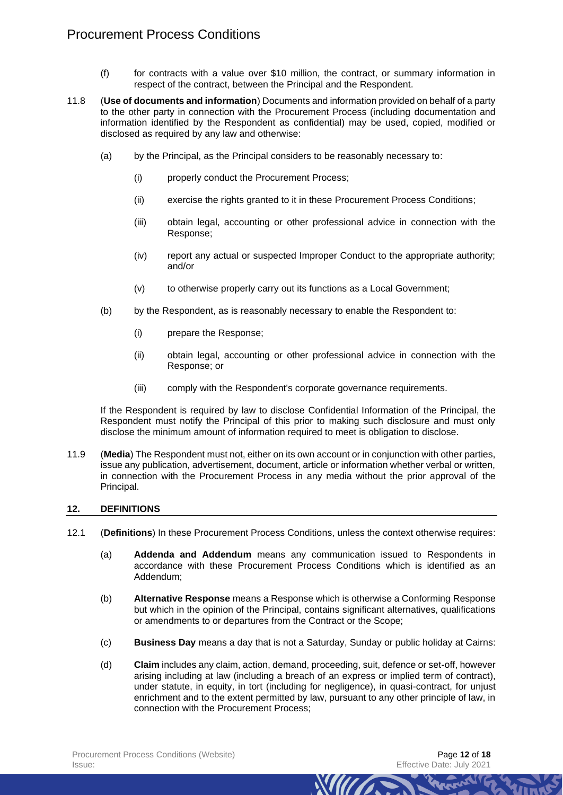# Procurement Process Conditions

- (f) for contracts with a value over \$10 million, the contract, or summary information in respect of the contract, between the Principal and the Respondent.
- <span id="page-11-0"></span>11.8 (**Use of documents and information**) Documents and information provided on behalf of a party to the other party in connection with the Procurement Process (including documentation and information identified by the Respondent as confidential) may be used, copied, modified or disclosed as required by any law and otherwise:
	- (a) by the Principal, as the Principal considers to be reasonably necessary to:
		- (i) properly conduct the Procurement Process;
		- (ii) exercise the rights granted to it in these Procurement Process Conditions;
		- (iii) obtain legal, accounting or other professional advice in connection with the Response;
		- (iv) report any actual or suspected Improper Conduct to the appropriate authority; and/or
		- (v) to otherwise properly carry out its functions as a Local Government;
	- (b) by the Respondent, as is reasonably necessary to enable the Respondent to:
		- (i) prepare the Response;
		- (ii) obtain legal, accounting or other professional advice in connection with the Response; or
		- (iii) comply with the Respondent's corporate governance requirements.

<span id="page-11-1"></span>If the Respondent is required by law to disclose Confidential Information of the Principal, the Respondent must notify the Principal of this prior to making such disclosure and must only disclose the minimum amount of information required to meet is obligation to disclose.

11.9 (**Media**) The Respondent must not, either on its own account or in conjunction with other parties, issue any publication, advertisement, document, article or information whether verbal or written, in connection with the Procurement Process in any media without the prior approval of the Principal.

#### **12. DEFINITIONS**

- 12.1 (**Definitions**) In these Procurement Process Conditions, unless the context otherwise requires:
	- (a) **Addenda and Addendum** means any communication issued to Respondents in accordance with these Procurement Process Conditions which is identified as an Addendum;
	- (b) **Alternative Response** means a Response which is otherwise a Conforming Response but which in the opinion of the Principal, contains significant alternatives, qualifications or amendments to or departures from the Contract or the Scope;
	- (c) **Business Day** means a day that is not a Saturday, Sunday or public holiday at Cairns:
	- (d) **Claim** includes any claim, action, demand, proceeding, suit, defence or set-off, however arising including at law (including a breach of an express or implied term of contract), under statute, in equity, in tort (including for negligence), in quasi-contract, for unjust enrichment and to the extent permitted by law, pursuant to any other principle of law, in connection with the Procurement Process;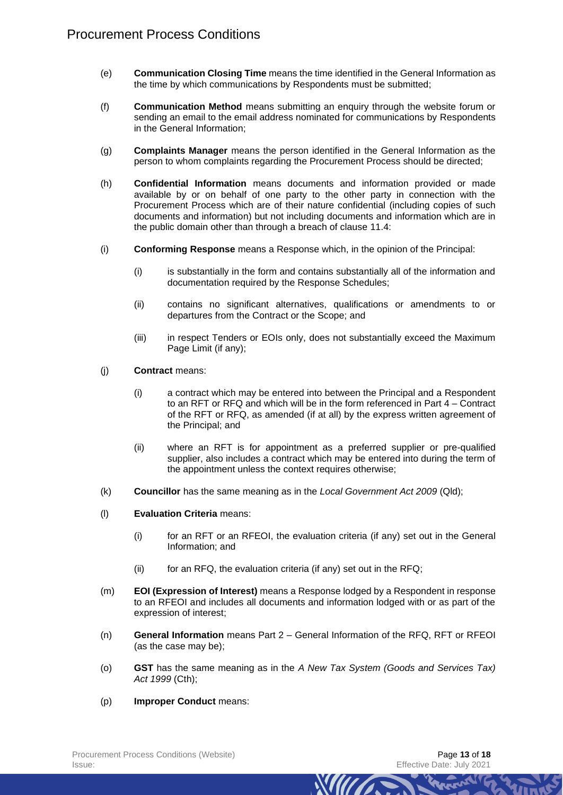- (e) **Communication Closing Time** means the time identified in the General Information as the time by which communications by Respondents must be submitted;
- (f) **Communication Method** means submitting an enquiry through the website forum or sending an email to the email address nominated for communications by Respondents in the General Information;
- (g) **Complaints Manager** means the person identified in the General Information as the person to whom complaints regarding the Procurement Process should be directed;
- (h) **Confidential Information** means documents and information provided or made available by or on behalf of one party to the other party in connection with the Procurement Process which are of their nature confidential (including copies of such documents and information) but not including documents and information which are in the public domain other than through a breach of clause [11.4:](#page-9-1)
- (i) **Conforming Response** means a Response which, in the opinion of the Principal:
	- (i) is substantially in the form and contains substantially all of the information and documentation required by the Response Schedules;
	- (ii) contains no significant alternatives, qualifications or amendments to or departures from the Contract or the Scope; and
	- (iii) in respect Tenders or EOIs only, does not substantially exceed the Maximum Page Limit (if any);
- (j) **Contract** means:
	- (i) a contract which may be entered into between the Principal and a Respondent to an RFT or RFQ and which will be in the form referenced in Part 4 – Contract of the RFT or RFQ, as amended (if at all) by the express written agreement of the Principal; and
	- (ii) where an RFT is for appointment as a preferred supplier or pre-qualified supplier, also includes a contract which may be entered into during the term of the appointment unless the context requires otherwise;
- (k) **Councillor** has the same meaning as in the *Local Government Act 2009* (Qld);
- (l) **Evaluation Criteria** means:
	- (i) for an RFT or an RFEOI, the evaluation criteria (if any) set out in the General Information; and
	- $(ii)$  for an RFQ, the evaluation criteria (if any) set out in the RFQ;
- (m) **EOI (Expression of Interest)** means a Response lodged by a Respondent in response to an RFEOI and includes all documents and information lodged with or as part of the expression of interest;
- (n) **General Information** means Part 2 General Information of the RFQ, RFT or RFEOI (as the case may be);
- (o) **GST** has the same meaning as in the *A New Tax System (Goods and Services Tax) Act 1999* (Cth);

*Mura* 

(p) **Improper Conduct** means: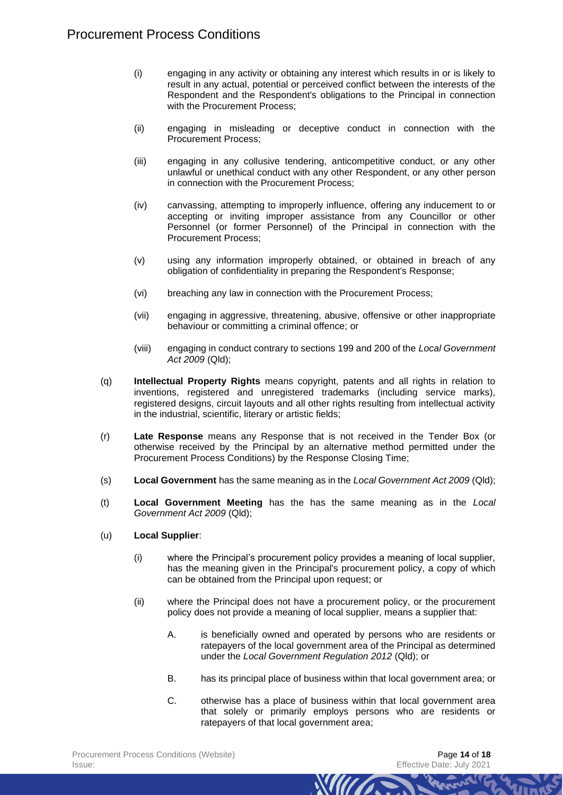- (i) engaging in any activity or obtaining any interest which results in or is likely to result in any actual, potential or perceived conflict between the interests of the Respondent and the Respondent's obligations to the Principal in connection with the Procurement Process;
- (ii) engaging in misleading or deceptive conduct in connection with the Procurement Process;
- (iii) engaging in any collusive tendering, anticompetitive conduct, or any other unlawful or unethical conduct with any other Respondent, or any other person in connection with the Procurement Process;
- (iv) canvassing, attempting to improperly influence, offering any inducement to or accepting or inviting improper assistance from any Councillor or other Personnel (or former Personnel) of the Principal in connection with the Procurement Process;
- (v) using any information improperly obtained, or obtained in breach of any obligation of confidentiality in preparing the Respondent's Response;
- (vi) breaching any law in connection with the Procurement Process;
- (vii) engaging in aggressive, threatening, abusive, offensive or other inappropriate behaviour or committing a criminal offence; or
- (viii) engaging in conduct contrary to sections 199 and 200 of the *Local Government Act 2009* (Qld);
- (q) **Intellectual Property Rights** means copyright, patents and all rights in relation to inventions, registered and unregistered trademarks (including service marks), registered designs, circuit layouts and all other rights resulting from intellectual activity in the industrial, scientific, literary or artistic fields;
- (r) **Late Response** means any Response that is not received in the Tender Box (or otherwise received by the Principal by an alternative method permitted under the Procurement Process Conditions) by the Response Closing Time;
- (s) **Local Government** has the same meaning as in the *Local Government Act 2009* (Qld);
- (t) **Local Government Meeting** has the has the same meaning as in the *Local Government Act 2009* (Qld);
- (u) **Local Supplier**:
	- (i) where the Principal's procurement policy provides a meaning of local supplier, has the meaning given in the Principal's procurement policy, a copy of which can be obtained from the Principal upon request; or
	- (ii) where the Principal does not have a procurement policy, or the procurement policy does not provide a meaning of local supplier, means a supplier that:
		- A. is beneficially owned and operated by persons who are residents or ratepayers of the local government area of the Principal as determined under the *Local Government Regulation 2012* (Qld); or
		- B. has its principal place of business within that local government area; or
		- C. otherwise has a place of business within that local government area that solely or primarily employs persons who are residents or ratepayers of that local government area;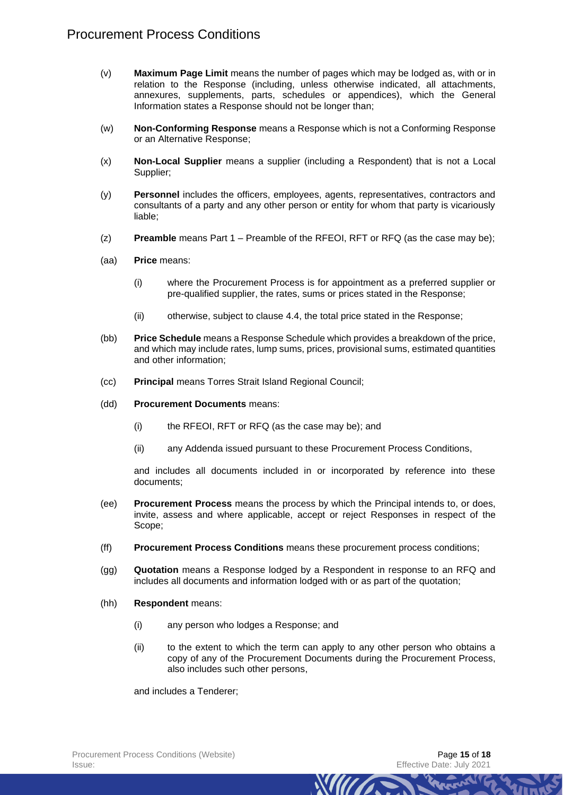- (v) **Maximum Page Limit** means the number of pages which may be lodged as, with or in relation to the Response (including, unless otherwise indicated, all attachments, annexures, supplements, parts, schedules or appendices), which the General Information states a Response should not be longer than;
- (w) **Non-Conforming Response** means a Response which is not a Conforming Response or an Alternative Response;
- (x) **Non-Local Supplier** means a supplier (including a Respondent) that is not a Local Supplier;
- (y) **Personnel** includes the officers, employees, agents, representatives, contractors and consultants of a party and any other person or entity for whom that party is vicariously liable;
- (z) **Preamble** means Part 1 Preamble of the RFEOI, RFT or RFQ (as the case may be);
- (aa) **Price** means:
	- (i) where the Procurement Process is for appointment as a preferred supplier or pre-qualified supplier, the rates, sums or prices stated in the Response;
	- (ii) otherwise, subject to clause [4.4,](#page-4-1) the total price stated in the Response;
- (bb) **Price Schedule** means a Response Schedule which provides a breakdown of the price, and which may include rates, lump sums, prices, provisional sums, estimated quantities and other information;
- (cc) **Principal** means Torres Strait Island Regional Council;
- (dd) **Procurement Documents** means:
	- (i) the RFEOI, RFT or RFQ (as the case may be); and
	- (ii) any Addenda issued pursuant to these Procurement Process Conditions,

and includes all documents included in or incorporated by reference into these documents;

- (ee) **Procurement Process** means the process by which the Principal intends to, or does, invite, assess and where applicable, accept or reject Responses in respect of the Scope;
- (ff) **Procurement Process Conditions** means these procurement process conditions;
- (gg) **Quotation** means a Response lodged by a Respondent in response to an RFQ and includes all documents and information lodged with or as part of the quotation;
- (hh) **Respondent** means:
	- (i) any person who lodges a Response; and
	- (ii) to the extent to which the term can apply to any other person who obtains a copy of any of the Procurement Documents during the Procurement Process, also includes such other persons,

*Mura* 

and includes a Tenderer;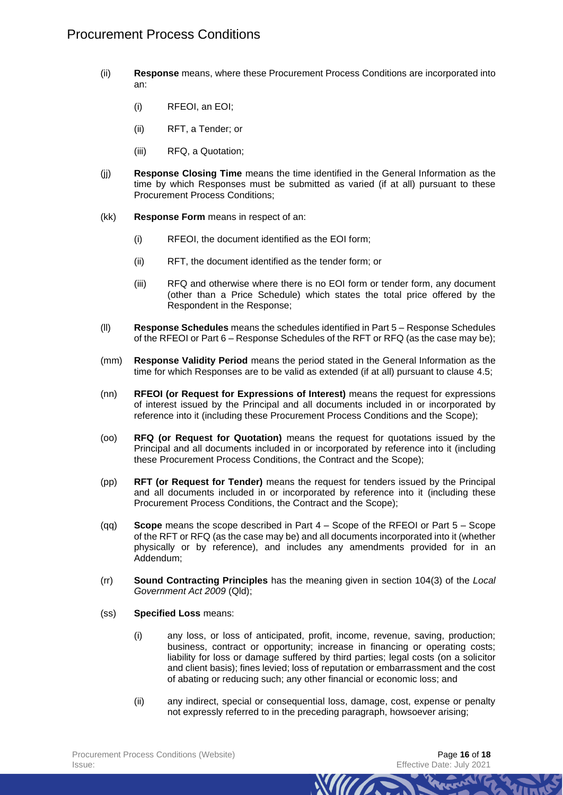- (ii) **Response** means, where these Procurement Process Conditions are incorporated into an:
	- (i) RFEOI, an EOI;
	- (ii) RFT, a Tender; or
	- (iii) RFQ, a Quotation;
- (jj) **Response Closing Time** means the time identified in the General Information as the time by which Responses must be submitted as varied (if at all) pursuant to these Procurement Process Conditions;
- (kk) **Response Form** means in respect of an:
	- (i) RFEOI, the document identified as the EOI form;
	- (ii) RFT, the document identified as the tender form; or
	- (iii) RFQ and otherwise where there is no EOI form or tender form, any document (other than a Price Schedule) which states the total price offered by the Respondent in the Response;
- (ll) **Response Schedules** means the schedules identified in Part 5 Response Schedules of the RFEOI or Part 6 – Response Schedules of the RFT or RFQ (as the case may be);
- (mm) **Response Validity Period** means the period stated in the General Information as the time for which Responses are to be valid as extended (if at all) pursuant to clause [4.5;](#page-4-2)
- (nn) **RFEOI (or Request for Expressions of Interest)** means the request for expressions of interest issued by the Principal and all documents included in or incorporated by reference into it (including these Procurement Process Conditions and the Scope);
- (oo) **RFQ (or Request for Quotation)** means the request for quotations issued by the Principal and all documents included in or incorporated by reference into it (including these Procurement Process Conditions, the Contract and the Scope);
- (pp) **RFT (or Request for Tender)** means the request for tenders issued by the Principal and all documents included in or incorporated by reference into it (including these Procurement Process Conditions, the Contract and the Scope);
- (qq) **Scope** means the scope described in Part 4 Scope of the RFEOI or Part 5 Scope of the RFT or RFQ (as the case may be) and all documents incorporated into it (whether physically or by reference), and includes any amendments provided for in an Addendum;
- (rr) **Sound Contracting Principles** has the meaning given in section 104(3) of the *Local Government Act 2009* (Qld);
- (ss) **Specified Loss** means:
	- (i) any loss, or loss of anticipated, profit, income, revenue, saving, production; business, contract or opportunity; increase in financing or operating costs; liability for loss or damage suffered by third parties; legal costs (on a solicitor and client basis); fines levied; loss of reputation or embarrassment and the cost of abating or reducing such; any other financial or economic loss; and
	- (ii) any indirect, special or consequential loss, damage, cost, expense or penalty not expressly referred to in the preceding paragraph, howsoever arising;

*MITTA*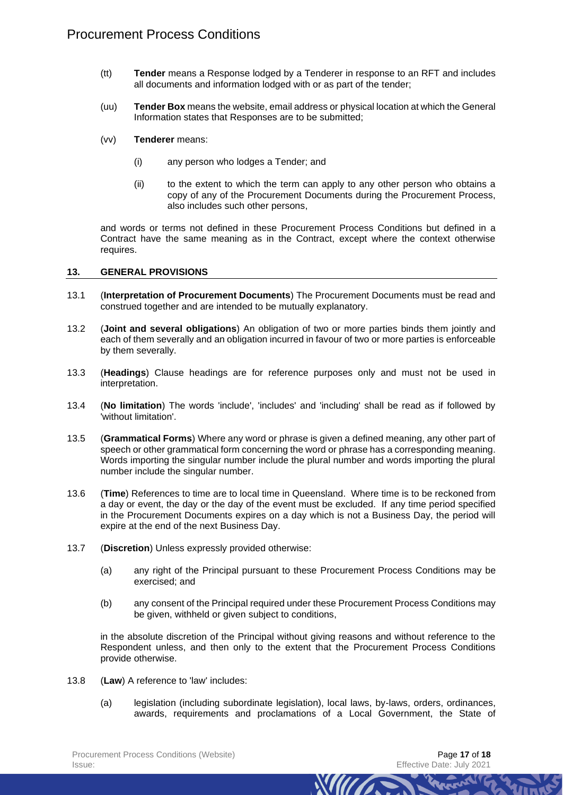- (tt) **Tender** means a Response lodged by a Tenderer in response to an RFT and includes all documents and information lodged with or as part of the tender;
- (uu) **Tender Box** means the website, email address or physical location at which the General Information states that Responses are to be submitted;
- (vv) **Tenderer** means:
	- (i) any person who lodges a Tender; and
	- (ii) to the extent to which the term can apply to any other person who obtains a copy of any of the Procurement Documents during the Procurement Process, also includes such other persons,

and words or terms not defined in these Procurement Process Conditions but defined in a Contract have the same meaning as in the Contract, except where the context otherwise requires.

#### **13. GENERAL PROVISIONS**

- 13.1 (**Interpretation of Procurement Documents**) The Procurement Documents must be read and construed together and are intended to be mutually explanatory.
- 13.2 (**Joint and several obligations**) An obligation of two or more parties binds them jointly and each of them severally and an obligation incurred in favour of two or more parties is enforceable by them severally.
- 13.3 (**Headings**) Clause headings are for reference purposes only and must not be used in interpretation.
- 13.4 (**No limitation**) The words 'include', 'includes' and 'including' shall be read as if followed by 'without limitation'.
- 13.5 (**Grammatical Forms**) Where any word or phrase is given a defined meaning, any other part of speech or other grammatical form concerning the word or phrase has a corresponding meaning. Words importing the singular number include the plural number and words importing the plural number include the singular number.
- 13.6 (**Time**) References to time are to local time in Queensland. Where time is to be reckoned from a day or event, the day or the day of the event must be excluded. If any time period specified in the Procurement Documents expires on a day which is not a Business Day, the period will expire at the end of the next Business Day.
- 13.7 (**Discretion**) Unless expressly provided otherwise:
	- (a) any right of the Principal pursuant to these Procurement Process Conditions may be exercised; and
	- (b) any consent of the Principal required under these Procurement Process Conditions may be given, withheld or given subject to conditions,

in the absolute discretion of the Principal without giving reasons and without reference to the Respondent unless, and then only to the extent that the Procurement Process Conditions provide otherwise.

- 13.8 (**Law**) A reference to 'law' includes:
	- (a) legislation (including subordinate legislation), local laws, by-laws, orders, ordinances, awards, requirements and proclamations of a Local Government, the State of

*MIITT*